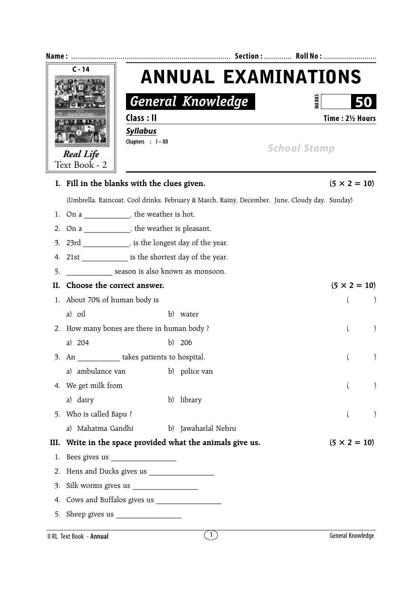| $C - 14$<br><b>Real Life</b> |                                                          |                            |                                                       |                                                                                                |                           |  |
|------------------------------|----------------------------------------------------------|----------------------------|-------------------------------------------------------|------------------------------------------------------------------------------------------------|---------------------------|--|
|                              |                                                          | <b>ANNUAL EXAMINATIONS</b> |                                                       |                                                                                                |                           |  |
|                              |                                                          |                            | <b>General Knowledge</b>                              | <b>VIARKS</b>                                                                                  |                           |  |
|                              |                                                          | Class : II                 |                                                       |                                                                                                | Time: 21/2 Hours          |  |
|                              |                                                          | <b>Syllabus</b>            |                                                       |                                                                                                |                           |  |
|                              |                                                          | Chapters : I-XII           |                                                       | <b>School Stamp</b>                                                                            |                           |  |
|                              | Text Book - 2                                            |                            |                                                       |                                                                                                |                           |  |
|                              | I. Fill in the blanks with the clues given.              |                            |                                                       |                                                                                                | $(5 \times 2 = 10)$       |  |
|                              |                                                          |                            |                                                       | (Umbrella, Raincoat, Cool drinks, February & March, Rainy, December, June, Cloudy day, Sunday) |                           |  |
| 1.                           | On a ______________, the weather is hot.                 |                            |                                                       |                                                                                                |                           |  |
| 2.                           | On a _____________, the weather is pleasant.             |                            |                                                       |                                                                                                |                           |  |
| 3.                           | 23rd ______________, is the longest day of the year.     |                            |                                                       |                                                                                                |                           |  |
| 4.                           | 21st __________________ is the shortest day of the year. |                            |                                                       |                                                                                                |                           |  |
| 5.                           | ________________ season is also known as monsoon.        |                            |                                                       |                                                                                                |                           |  |
| II.                          | Choose the correct answer.                               |                            |                                                       |                                                                                                | $(5 \times 2 = 10)$       |  |
|                              | 1. About 70% of human body is                            |                            |                                                       |                                                                                                | $\lambda$                 |  |
|                              | a) oil                                                   |                            | b) water                                              |                                                                                                |                           |  |
|                              | 2. How many bones are there in human body ?              |                            |                                                       |                                                                                                | $\left($                  |  |
|                              | a) $204$                                                 |                            | b) $206$                                              |                                                                                                |                           |  |
|                              | 3. An ______________ takes patients to hospital.         |                            |                                                       |                                                                                                |                           |  |
|                              | a) ambulance van                                         |                            | b) police van                                         |                                                                                                |                           |  |
|                              | 4. We get milk from                                      |                            |                                                       |                                                                                                |                           |  |
|                              | a) dairy                                                 |                            | b) library                                            |                                                                                                |                           |  |
| 5.                           | Who is called Bapu?                                      |                            |                                                       |                                                                                                | $\mathcal{E}$<br>$\left($ |  |
|                              | a) Mahatma Gandhi                                        |                            | b) Jawaharlal Nehru                                   |                                                                                                |                           |  |
| III.                         |                                                          |                            | Write in the space provided what the animals give us. |                                                                                                | $(5 \times 2 = 10)$       |  |
| 1.                           |                                                          |                            |                                                       |                                                                                                |                           |  |
| 2.                           |                                                          |                            |                                                       |                                                                                                |                           |  |
| 3.                           |                                                          |                            |                                                       |                                                                                                |                           |  |
| 4.                           |                                                          |                            |                                                       |                                                                                                |                           |  |
| 5.                           |                                                          |                            |                                                       |                                                                                                |                           |  |
|                              | II RL Text Book - Annual                                 |                            | (1)                                                   |                                                                                                | General Knowledge         |  |